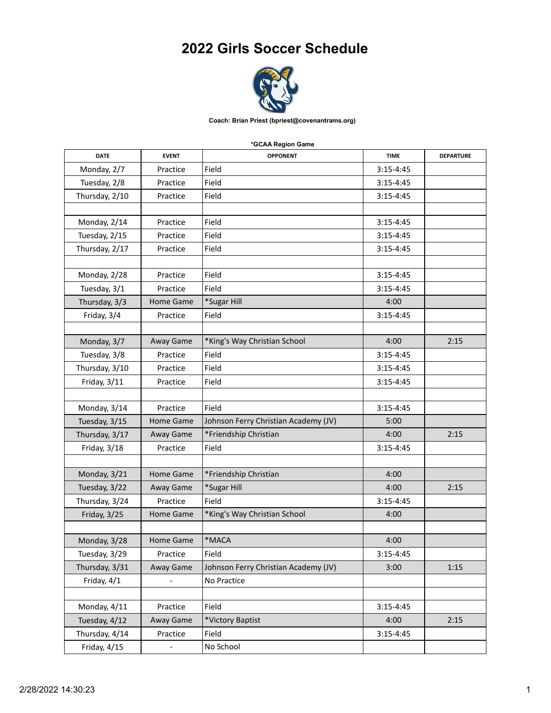## **2022 Girls Soccer Schedule**



**Coach: Brian Priest (bpriest@covenantrams.org)**

## **\*GCAA Region Game**

| <b>DATE</b>    | <b>EVENT</b>             | <b>OPPONENT</b>                      | <b>TIME</b>   | <b>DEPARTURE</b> |
|----------------|--------------------------|--------------------------------------|---------------|------------------|
| Monday, 2/7    | Practice                 | Field                                | $3:15-4:45$   |                  |
| Tuesday, 2/8   | Practice                 | Field                                | $3:15 - 4:45$ |                  |
| Thursday, 2/10 | Practice                 | Field                                | $3:15 - 4:45$ |                  |
|                |                          |                                      |               |                  |
| Monday, 2/14   | Practice                 | Field                                | $3:15-4:45$   |                  |
| Tuesday, 2/15  | Practice                 | Field                                | $3:15 - 4:45$ |                  |
| Thursday, 2/17 | Practice                 | Field                                | $3:15-4:45$   |                  |
|                |                          |                                      |               |                  |
| Monday, 2/28   | Practice                 | Field                                | $3:15 - 4:45$ |                  |
| Tuesday, 3/1   | Practice                 | Field                                | $3:15-4:45$   |                  |
| Thursday, 3/3  | Home Game                | *Sugar Hill                          | 4:00          |                  |
| Friday, 3/4    | Practice                 | Field                                | $3:15-4:45$   |                  |
|                |                          |                                      |               |                  |
| Monday, 3/7    | Away Game                | *King's Way Christian School         | 4:00          | 2:15             |
| Tuesday, 3/8   | Practice                 | Field                                | $3:15 - 4:45$ |                  |
| Thursday, 3/10 | Practice                 | Field                                | $3:15-4:45$   |                  |
| Friday, 3/11   | Practice                 | Field                                | $3:15 - 4:45$ |                  |
|                |                          |                                      |               |                  |
| Monday, 3/14   | Practice                 | Field                                | $3:15 - 4:45$ |                  |
| Tuesday, 3/15  | Home Game                | Johnson Ferry Christian Academy (JV) | 5:00          |                  |
| Thursday, 3/17 | Away Game                | *Friendship Christian                | 4:00          | 2:15             |
| Friday, 3/18   | Practice                 | Field                                | $3:15-4:45$   |                  |
|                |                          |                                      |               |                  |
| Monday, 3/21   | Home Game                | *Friendship Christian                | 4:00          |                  |
| Tuesday, 3/22  | Away Game                | *Sugar Hill                          | 4:00          | 2:15             |
| Thursday, 3/24 | Practice                 | Field                                | $3:15 - 4:45$ |                  |
| Friday, 3/25   | Home Game                | *King's Way Christian School         | 4:00          |                  |
|                |                          |                                      |               |                  |
| Monday, 3/28   | Home Game                | *MACA                                | 4:00          |                  |
| Tuesday, 3/29  | Practice                 | Field                                | $3:15 - 4:45$ |                  |
| Thursday, 3/31 | Away Game                | Johnson Ferry Christian Academy (JV) | 3:00          | 1:15             |
| Friday, 4/1    |                          | No Practice                          |               |                  |
|                |                          |                                      |               |                  |
| Monday, 4/11   | Practice                 | Field                                | $3:15 - 4:45$ |                  |
| Tuesday, 4/12  | Away Game                | *Victory Baptist                     | 4:00          | 2:15             |
| Thursday, 4/14 | Practice                 | Field                                | $3:15 - 4:45$ |                  |
| Friday, 4/15   | $\overline{\phantom{0}}$ | No School                            |               |                  |